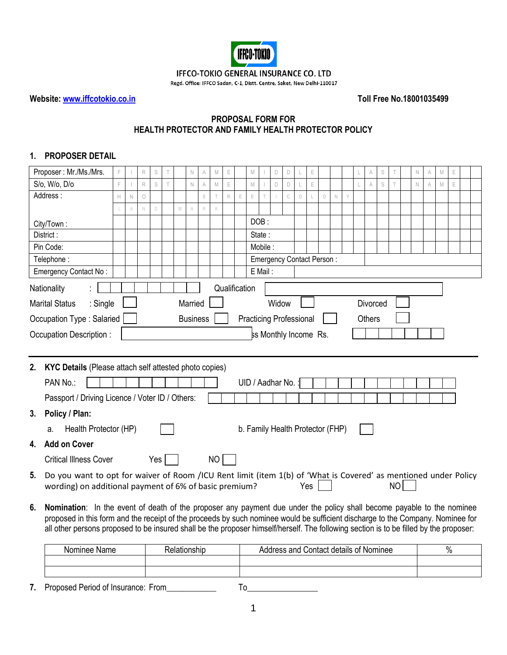

## IFFCO-TOKIO GENERAL INSURANCE CO. LTD

Regd. Office: IFFCO Sadan, C-1, Distt. Centre, Saket, New Delhi-110017

**Website: [www.iffcotokio.co.in](http://www.iffcotokio.co.in/) Toll Free No.18001035499**

## **PROPOSAL FORM FOR HEALTH PROTECTOR AND FAMILY HEALTH PROTECTOR POLICY**

# **1. PROPOSER DETAIL**

|    | Proposer: Mr./Ms./Mrs.                                                                                                                 |   |             | $\mathsf R$ | S           |  |             | N               |             | M           |             |               | M           |         | $\mathsf D$                      | $\mathsf D$  |            | E           |         |             |  |                | S |  | N           | M | E |  |  |
|----|----------------------------------------------------------------------------------------------------------------------------------------|---|-------------|-------------|-------------|--|-------------|-----------------|-------------|-------------|-------------|---------------|-------------|---------|----------------------------------|--------------|------------|-------------|---------|-------------|--|----------------|---|--|-------------|---|---|--|--|
|    | S/o, W/o, D/o                                                                                                                          | F |             | $\mathsf R$ | S           |  |             | $\mathbb N$     | $\mathbb A$ | $\mathbb M$ | E           |               | $\mathbb M$ |         | $\mathsf D$                      | $\mathsf D$  |            | $\mathsf E$ |         |             |  | $\overline{A}$ | S |  | $\mathbb N$ | M | E |  |  |
|    | Address:                                                                                                                               | H | $\mathbb N$ | $\bigcirc$  |             |  |             |                 | S           |             | $\mathbb R$ | E             | E           |         |                                  | $\mathbb{C}$ | $\bigcirc$ |             | $\circ$ | $\mathbb N$ |  |                |   |  |             |   |   |  |  |
|    |                                                                                                                                        |   | A           | $\mathbb N$ | $\mathsf D$ |  | $\mathbb M$ | A               | $\mathbb R$ |             |             |               |             |         |                                  |              |            |             |         |             |  |                |   |  |             |   |   |  |  |
|    | City/Town:                                                                                                                             |   |             |             |             |  |             |                 |             |             |             |               |             | DOB:    |                                  |              |            |             |         |             |  |                |   |  |             |   |   |  |  |
|    | State:<br>District:                                                                                                                    |   |             |             |             |  |             |                 |             |             |             |               |             |         |                                  |              |            |             |         |             |  |                |   |  |             |   |   |  |  |
|    | Pin Code:                                                                                                                              |   |             |             |             |  |             |                 |             |             |             |               |             | Mobile: |                                  |              |            |             |         |             |  |                |   |  |             |   |   |  |  |
|    | Telephone:                                                                                                                             |   |             |             |             |  |             |                 |             |             |             |               |             |         | Emergency Contact Person:        |              |            |             |         |             |  |                |   |  |             |   |   |  |  |
|    | Emergency Contact No:                                                                                                                  |   |             |             |             |  |             |                 |             |             |             |               |             | E Mail: |                                  |              |            |             |         |             |  |                |   |  |             |   |   |  |  |
|    | Nationality                                                                                                                            |   |             |             |             |  |             |                 |             |             |             | Qualification |             |         |                                  |              |            |             |         |             |  |                |   |  |             |   |   |  |  |
|    | : Single<br><b>Marital Status</b>                                                                                                      |   |             |             |             |  |             | Married         |             |             |             |               |             |         | Widow                            |              |            |             |         |             |  | Divorced       |   |  |             |   |   |  |  |
|    | Occupation Type: Salaried                                                                                                              |   |             |             |             |  |             | <b>Business</b> |             |             |             |               |             |         |                                  |              |            |             |         |             |  | <b>Others</b>  |   |  |             |   |   |  |  |
|    | <b>Practicing Professional</b><br>ss Monthly Income Rs.<br>Occupation Description:                                                     |   |             |             |             |  |             |                 |             |             |             |               |             |         |                                  |              |            |             |         |             |  |                |   |  |             |   |   |  |  |
|    |                                                                                                                                        |   |             |             |             |  |             |                 |             |             |             |               |             |         |                                  |              |            |             |         |             |  |                |   |  |             |   |   |  |  |
|    |                                                                                                                                        |   |             |             |             |  |             |                 |             |             |             |               |             |         |                                  |              |            |             |         |             |  |                |   |  |             |   |   |  |  |
| 2. | KYC Details (Please attach self attested photo copies)                                                                                 |   |             |             |             |  |             |                 |             |             |             |               |             |         |                                  |              |            |             |         |             |  |                |   |  |             |   |   |  |  |
|    | PAN No.:                                                                                                                               |   |             |             |             |  |             |                 |             |             |             |               |             |         | UID / Aadhar No.                 |              |            |             |         |             |  |                |   |  |             |   |   |  |  |
|    | Passport / Driving Licence / Voter ID / Others:                                                                                        |   |             |             |             |  |             |                 |             |             |             |               |             |         |                                  |              |            |             |         |             |  |                |   |  |             |   |   |  |  |
| 3. | Policy / Plan:                                                                                                                         |   |             |             |             |  |             |                 |             |             |             |               |             |         |                                  |              |            |             |         |             |  |                |   |  |             |   |   |  |  |
|    | Health Protector (HP)<br>а.                                                                                                            |   |             |             |             |  |             |                 |             |             |             |               |             |         | b. Family Health Protector (FHP) |              |            |             |         |             |  |                |   |  |             |   |   |  |  |
| 4. | <b>Add on Cover</b>                                                                                                                    |   |             |             |             |  |             |                 |             |             |             |               |             |         |                                  |              |            |             |         |             |  |                |   |  |             |   |   |  |  |
|    |                                                                                                                                        |   |             |             |             |  |             |                 |             |             |             |               |             |         |                                  |              |            |             |         |             |  |                |   |  |             |   |   |  |  |
|    | <b>Critical Illness Cover</b>                                                                                                          |   |             |             | Yes         |  |             |                 |             | NO          |             |               |             |         |                                  |              |            |             |         |             |  |                |   |  |             |   |   |  |  |
| 5. | Do you want to opt for waiver of Room /ICU Rent limit (item 1(b) of 'What is Covered' as mentioned under Policy                        |   |             |             |             |  |             |                 |             |             |             |               |             |         |                                  |              |            |             |         |             |  |                |   |  |             |   |   |  |  |
|    | NO<br>Yes<br>wording) on additional payment of 6% of basic premium?                                                                    |   |             |             |             |  |             |                 |             |             |             |               |             |         |                                  |              |            |             |         |             |  |                |   |  |             |   |   |  |  |
| 6. | Nomination: In the event of death of the proposer any payment due under the policy shall become payable to the nominee                 |   |             |             |             |  |             |                 |             |             |             |               |             |         |                                  |              |            |             |         |             |  |                |   |  |             |   |   |  |  |
|    | proposed in this form and the receipt of the proceeds by such nominee would be sufficient discharge to the Company. Nominee for        |   |             |             |             |  |             |                 |             |             |             |               |             |         |                                  |              |            |             |         |             |  |                |   |  |             |   |   |  |  |
|    | all other persons proposed to be insured shall be the proposer himself/herself. The following section is to be filled by the proposer: |   |             |             |             |  |             |                 |             |             |             |               |             |         |                                  |              |            |             |         |             |  |                |   |  |             |   |   |  |  |
|    |                                                                                                                                        |   |             |             |             |  |             |                 |             |             |             |               |             |         |                                  |              |            |             |         |             |  |                |   |  |             |   |   |  |  |

| Nominee Name | ≺elationship | Address and<br>⊦Contact details of Nominee_<br><b>Address</b> | / U |
|--------------|--------------|---------------------------------------------------------------|-----|
|              |              |                                                               |     |
|              |              |                                                               |     |

**7.** Proposed Period of Insurance: From\_\_\_\_\_\_\_\_\_\_\_\_ To\_\_\_\_\_\_\_\_\_\_\_\_\_\_\_\_\_

1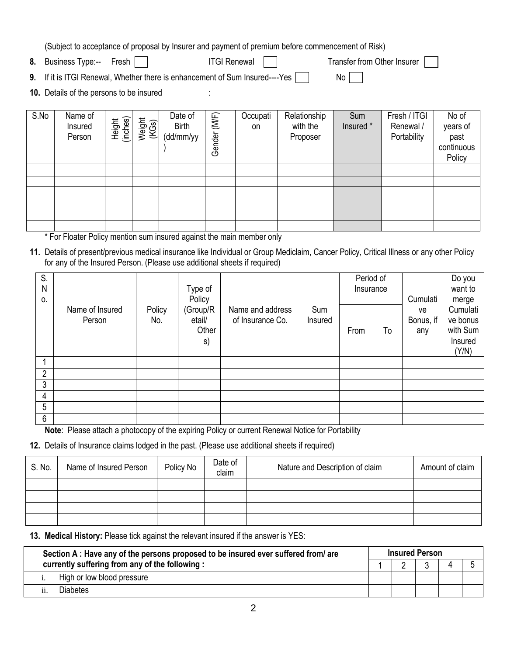(Subject to acceptance of proposal by Insurer and payment of premium before commencement of Risk)

- **8.** Business Type:-- Fresh | | ITGI Renewal | | Transfer from Other Insurer
- **9.** If it is ITGI Renewal, Whether there is enhancement of Sum Insured----Yes  $\Box$  No  $\Box$

**10.** Details of the persons to be insured :

| S.No | Name of<br>Insured<br>Person | Height<br>(inches) | Weight<br>(KGs) | Date of<br><b>Birth</b><br>(dd/mm/yy | (MF)<br>Gender | Occupati<br>on | Relationship<br>with the<br>Proposer | Sum<br>Insured * | Fresh / ITGI<br>Renewal /<br>Portability | No of<br>years of<br>past<br>continuous<br>Policy |
|------|------------------------------|--------------------|-----------------|--------------------------------------|----------------|----------------|--------------------------------------|------------------|------------------------------------------|---------------------------------------------------|
|      |                              |                    |                 |                                      |                |                |                                      |                  |                                          |                                                   |
|      |                              |                    |                 |                                      |                |                |                                      |                  |                                          |                                                   |
|      |                              |                    |                 |                                      |                |                |                                      |                  |                                          |                                                   |
|      |                              |                    |                 |                                      |                |                |                                      |                  |                                          |                                                   |
|      |                              |                    |                 |                                      |                |                |                                      |                  |                                          |                                                   |
|      |                              |                    |                 |                                      |                |                |                                      |                  |                                          |                                                   |

\* For Floater Policy mention sum insured against the main member only

**11.** Details of present/previous medical insurance like Individual or Group Mediclaim, Cancer Policy, Critical Illness or any other Policy for any of the Insured Person. (Please use additional sheets if required)

| S.<br>N<br>0.  |                           |               | Type of<br>Policy                 |                                      |                | Period of<br>Insurance |    | Cumulati               | Do you<br>want to<br>merge                           |
|----------------|---------------------------|---------------|-----------------------------------|--------------------------------------|----------------|------------------------|----|------------------------|------------------------------------------------------|
|                | Name of Insured<br>Person | Policy<br>No. | (Group/R<br>etail/<br>Other<br>s) | Name and address<br>of Insurance Co. | Sum<br>Insured | From                   | To | ve<br>Bonus, if<br>any | Cumulati<br>ve bonus<br>with Sum<br>Insured<br>(Y/N) |
|                |                           |               |                                   |                                      |                |                        |    |                        |                                                      |
| $\overline{2}$ |                           |               |                                   |                                      |                |                        |    |                        |                                                      |
| 3              |                           |               |                                   |                                      |                |                        |    |                        |                                                      |
| 4              |                           |               |                                   |                                      |                |                        |    |                        |                                                      |
| 5              |                           |               |                                   |                                      |                |                        |    |                        |                                                      |
| 6              |                           |               |                                   |                                      |                |                        |    |                        |                                                      |

**Note**: Please attach a photocopy of the expiring Policy or current Renewal Notice for Portability

**12.** Details of Insurance claims lodged in the past. (Please use additional sheets if required)

| S. No. | Name of Insured Person | Policy No | Date of<br>claim | Nature and Description of claim | Amount of claim |
|--------|------------------------|-----------|------------------|---------------------------------|-----------------|
|        |                        |           |                  |                                 |                 |
|        |                        |           |                  |                                 |                 |
|        |                        |           |                  |                                 |                 |
|        |                        |           |                  |                                 |                 |

**13. Medical History:** Please tick against the relevant insured if the answer is YES:

| Section A : Have any of the persons proposed to be insured ever suffered from/ are | <b>Insured Person</b> |  |  |  |  |  |  |
|------------------------------------------------------------------------------------|-----------------------|--|--|--|--|--|--|
| currently suffering from any of the following:                                     |                       |  |  |  |  |  |  |
| High or low blood pressure                                                         |                       |  |  |  |  |  |  |
| <b>Diabetes</b>                                                                    |                       |  |  |  |  |  |  |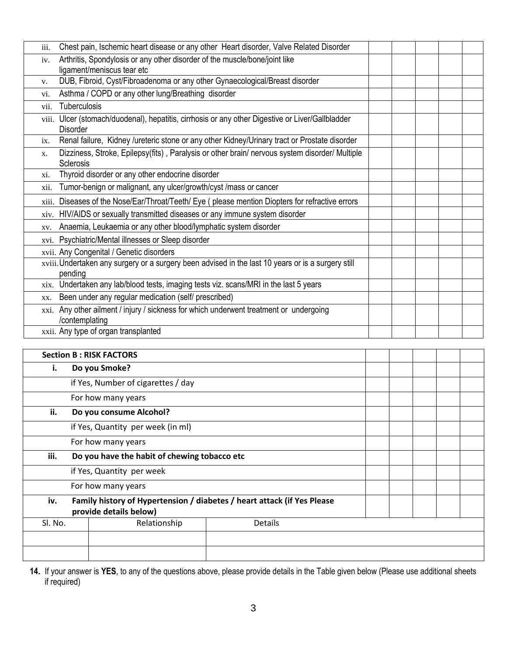| iii. | Chest pain, Ischemic heart disease or any other Heart disorder, Valve Related Disorder                              |  |  |  |
|------|---------------------------------------------------------------------------------------------------------------------|--|--|--|
| iv.  | Arthritis, Spondylosis or any other disorder of the muscle/bone/joint like                                          |  |  |  |
|      | ligament/meniscus tear etc                                                                                          |  |  |  |
| V.   | DUB, Fibroid, Cyst/Fibroadenoma or any other Gynaecological/Breast disorder                                         |  |  |  |
| vi.  | Asthma / COPD or any other lung/Breathing disorder                                                                  |  |  |  |
| vii. | Tuberculosis                                                                                                        |  |  |  |
|      | viii. Ulcer (stomach/duodenal), hepatitis, cirrhosis or any other Digestive or Liver/Gallbladder<br><b>Disorder</b> |  |  |  |
| ix.  | Renal failure, Kidney /ureteric stone or any other Kidney/Urinary tract or Prostate disorder                        |  |  |  |
| X.   | Dizziness, Stroke, Epilepsy(fits), Paralysis or other brain/nervous system disorder/ Multiple<br>Sclerosis          |  |  |  |
| xi.  | Thyroid disorder or any other endocrine disorder                                                                    |  |  |  |
| xii. | Tumor-benign or malignant, any ulcer/growth/cyst /mass or cancer                                                    |  |  |  |
|      | xiii. Diseases of the Nose/Ear/Throat/Teeth/ Eye (please mention Diopters for refractive errors                     |  |  |  |
|      | xiv. HIV/AIDS or sexually transmitted diseases or any immune system disorder                                        |  |  |  |
| XV.  | Anaemia, Leukaemia or any other blood/lymphatic system disorder                                                     |  |  |  |
|      | xvi. Psychiatric/Mental illnesses or Sleep disorder                                                                 |  |  |  |
|      | xvii. Any Congenital / Genetic disorders                                                                            |  |  |  |
|      | xviii. Undertaken any surgery or a surgery been advised in the last 10 years or is a surgery still<br>pending       |  |  |  |
|      | xix. Undertaken any lab/blood tests, imaging tests viz. scans/MRI in the last 5 years                               |  |  |  |
| XX.  | Been under any regular medication (self/ prescribed)                                                                |  |  |  |
|      | xxi. Any other ailment / injury / sickness for which underwent treatment or undergoing<br>/contemplating            |  |  |  |
|      | xxii. Any type of organ transplanted                                                                                |  |  |  |

|         | <b>Section B: RISK FACTORS</b>               |                                                                         |  |  |  |  |  |  |  |
|---------|----------------------------------------------|-------------------------------------------------------------------------|--|--|--|--|--|--|--|
| i.      | Do you Smoke?                                |                                                                         |  |  |  |  |  |  |  |
|         | if Yes, Number of cigarettes / day           |                                                                         |  |  |  |  |  |  |  |
|         | For how many years                           |                                                                         |  |  |  |  |  |  |  |
| ii.     | Do you consume Alcohol?                      |                                                                         |  |  |  |  |  |  |  |
|         | if Yes, Quantity per week (in ml)            |                                                                         |  |  |  |  |  |  |  |
|         | For how many years                           |                                                                         |  |  |  |  |  |  |  |
| iii.    | Do you have the habit of chewing tobacco etc |                                                                         |  |  |  |  |  |  |  |
|         | if Yes, Quantity per week                    |                                                                         |  |  |  |  |  |  |  |
|         | For how many years                           |                                                                         |  |  |  |  |  |  |  |
| iv.     | provide details below)                       | Family history of Hypertension / diabetes / heart attack (if Yes Please |  |  |  |  |  |  |  |
| Sl. No. | Relationship                                 | <b>Details</b>                                                          |  |  |  |  |  |  |  |
|         |                                              |                                                                         |  |  |  |  |  |  |  |
|         |                                              |                                                                         |  |  |  |  |  |  |  |

**14.** If your answer is **YES**, to any of the questions above, please provide details in the Table given below (Please use additional sheets if required)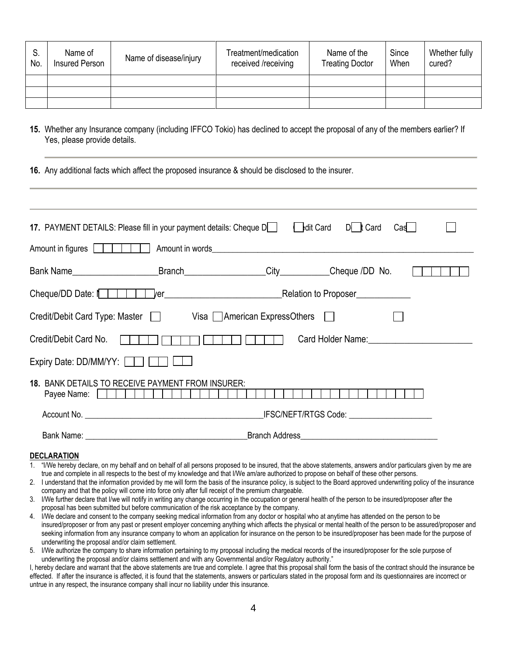| S.<br>No. | Name of<br>Insured Person | Name of disease/injury | Treatment/medication<br>received /receiving | Name of the<br><b>Treating Doctor</b> | Since<br>When | Whether fully<br>cured? |
|-----------|---------------------------|------------------------|---------------------------------------------|---------------------------------------|---------------|-------------------------|
|           |                           |                        |                                             |                                       |               |                         |
|           |                           |                        |                                             |                                       |               |                         |
|           |                           |                        |                                             |                                       |               |                         |

- **15.** Whether any Insurance company (including IFFCO Tokio) has declined to accept the proposal of any of the members earlier? If Yes, please provide details.
- **16.** Any additional facts which affect the proposed insurance & should be disclosed to the insurer.

| 17. PAYMENT DETAILS: Please fill in your payment details: Cheque D<br>$\left  \right $ edit Card D t Card<br>Cas I<br>Amount in figures  <br>I.<br>_Branch______________________City____________Cheque /DD No.<br>Bank Name<br><u>example of the set of the set of the set of the set of the set of the set of the set of the set of the set of the s</u><br>Cheque/DD Date: $\parallel$ $\parallel$<br>Credit/Debit Card Type: Master   Visa   American ExpressOthers  <br>Credit/Debit Card No.<br>Card Holder Name:<br><u> Card Holder Name</u> :<br>Expiry Date: DD/MM/YY:          <br><b>18. BANK DETAILS TO RECEIVE PAYMENT FROM INSURER:</b><br>Payee Name:                                  <br>IFSC/NEFT/RTGS Code: _________________________<br>Branch Address <b>Contract Contract Contract Contract Contract Contract Contract Contract Contract Contract Contract Contract Contract Contract Contract Contract Contract Contract Contract Contract Contract Contract Contract</b> |  |  |  |  |  |  |  |
|-------------------------------------------------------------------------------------------------------------------------------------------------------------------------------------------------------------------------------------------------------------------------------------------------------------------------------------------------------------------------------------------------------------------------------------------------------------------------------------------------------------------------------------------------------------------------------------------------------------------------------------------------------------------------------------------------------------------------------------------------------------------------------------------------------------------------------------------------------------------------------------------------------------------------------------------------------------------------------------------------|--|--|--|--|--|--|--|
|                                                                                                                                                                                                                                                                                                                                                                                                                                                                                                                                                                                                                                                                                                                                                                                                                                                                                                                                                                                                 |  |  |  |  |  |  |  |
|                                                                                                                                                                                                                                                                                                                                                                                                                                                                                                                                                                                                                                                                                                                                                                                                                                                                                                                                                                                                 |  |  |  |  |  |  |  |
|                                                                                                                                                                                                                                                                                                                                                                                                                                                                                                                                                                                                                                                                                                                                                                                                                                                                                                                                                                                                 |  |  |  |  |  |  |  |
|                                                                                                                                                                                                                                                                                                                                                                                                                                                                                                                                                                                                                                                                                                                                                                                                                                                                                                                                                                                                 |  |  |  |  |  |  |  |
|                                                                                                                                                                                                                                                                                                                                                                                                                                                                                                                                                                                                                                                                                                                                                                                                                                                                                                                                                                                                 |  |  |  |  |  |  |  |
|                                                                                                                                                                                                                                                                                                                                                                                                                                                                                                                                                                                                                                                                                                                                                                                                                                                                                                                                                                                                 |  |  |  |  |  |  |  |
|                                                                                                                                                                                                                                                                                                                                                                                                                                                                                                                                                                                                                                                                                                                                                                                                                                                                                                                                                                                                 |  |  |  |  |  |  |  |
|                                                                                                                                                                                                                                                                                                                                                                                                                                                                                                                                                                                                                                                                                                                                                                                                                                                                                                                                                                                                 |  |  |  |  |  |  |  |
|                                                                                                                                                                                                                                                                                                                                                                                                                                                                                                                                                                                                                                                                                                                                                                                                                                                                                                                                                                                                 |  |  |  |  |  |  |  |
|                                                                                                                                                                                                                                                                                                                                                                                                                                                                                                                                                                                                                                                                                                                                                                                                                                                                                                                                                                                                 |  |  |  |  |  |  |  |

### **DECLARATION**

- 1. "I/We hereby declare, on my behalf and on behalf of all persons proposed to be insured, that the above statements, answers and/or particulars given by me are true and complete in all respects to the best of my knowledge and that I/We am/are authorized to propose on behalf of these other persons.
- 2. I understand that the information provided by me will form the basis of the insurance policy, is subject to the Board approved underwriting policy of the insurance company and that the policy will come into force only after full receipt of the premium chargeable.
- 3. I/We further declare that I/we will notify in writing any change occurring in the occupation or general health of the person to be insured/proposer after the proposal has been submitted but before communication of the risk acceptance by the company.
- 4. I/We declare and consent to the company seeking medical information from any doctor or hospital who at anytime has attended on the person to be insured/proposer or from any past or present employer concerning anything which affects the physical or mental health of the person to be assured/proposer and seeking information from any insurance company to whom an application for insurance on the person to be insured/proposer has been made for the purpose of underwriting the proposal and/or claim settlement.
- 5. I/We authorize the company to share information pertaining to my proposal including the medical records of the insured/proposer for the sole purpose of underwriting the proposal and/or claims settlement and with any Governmental and/or Regulatory authority."

I, hereby declare and warrant that the above statements are true and complete. I agree that this proposal shall form the basis of the contract should the insurance be effected. If after the insurance is affected, it is found that the statements, answers or particulars stated in the proposal form and its questionnaires are incorrect or untrue in any respect, the insurance company shall incur no liability under this insurance.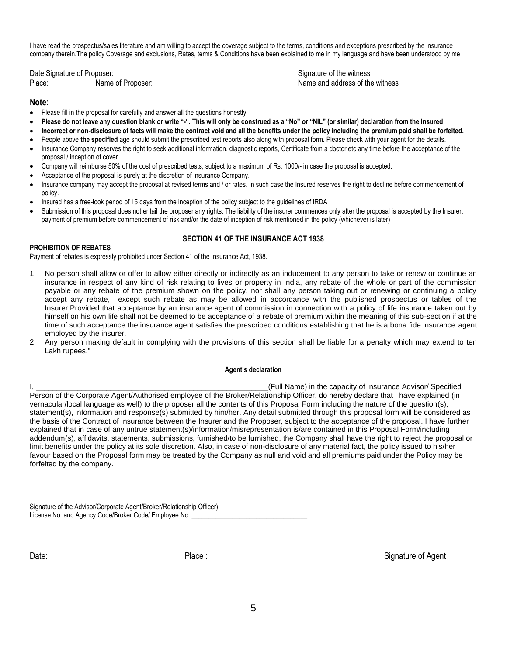I have read the prospectus/sales literature and am willing to accept the coverage subject to the terms, conditions and exceptions prescribed by the insurance company therein.The policy Coverage and exclusions, Rates, terms & Conditions have been explained to me in my language and have been understood by me

Date Signature of Proposer: Signature of the witness in the witness states of the witness of the witness in the witness in the witness of the witness of the witness in the witness of the witness of the witness of the witne Place: Name of Proposer: Name and address of the witness

# **Note**:

- Please fill in the proposal for carefully and answer all the questions honestly.
- **Please do not leave any question blank or write "-". This will only be construed as a "No" or "NIL" (or similar) declaration from the Insured**
- **Incorrect or non-disclosure of facts will make the contract void and all the benefits under the policy including the premium paid shall be forfeited.**
- People above the specified age should submit the prescribed test reports also along with proposal form. Please check with your agent for the details.
- Insurance Company reserves the right to seek additional information, diagnostic reports, Certificate from a doctor etc any time before the acceptance of the proposal / inception of cover.
- Company will reimburse 50% of the cost of prescribed tests, subject to a maximum of Rs. 1000/- in case the proposal is accepted.
- Acceptance of the proposal is purely at the discretion of Insurance Company.
- Insurance company may accept the proposal at revised terms and / or rates. In such case the Insured reserves the right to decline before commencement of policy.
- Insured has a free-look period of 15 days from the inception of the policy subject to the guidelines of IRDA
- Submission of this proposal does not entail the proposer any rights. The liability of the insurer commences only after the proposal is accepted by the Insurer, payment of premium before commencement of risk and/or the date of inception of risk mentioned in the policy (whichever is later)

### **SECTION 41 OF THE INSURANCE ACT 1938**

#### **PROHIBITION OF REBATES**

Payment of rebates is expressly prohibited under Section 41 of the Insurance Act, 1938.

- 1. No person shall allow or offer to allow either directly or indirectly as an inducement to any person to take or renew or continue an insurance in respect of any kind of risk relating to lives or property in India, any rebate of the whole or part of the commission payable or any rebate of the premium shown on the policy, nor shall any person taking out or renewing or continuing a policy accept any rebate, except such rebate as may be allowed in accordance with the published prospectus or tables of the Insurer.Provided that acceptance by an insurance agent of commission in connection with a policy of life insurance taken out by himself on his own life shall not be deemed to be acceptance of a rebate of premium within the meaning of this sub-section if at the time of such acceptance the insurance agent satisfies the prescribed conditions establishing that he is a bona fide insurance agent employed by the insurer.
- 2. Any person making default in complying with the provisions of this section shall be liable for a penalty which may extend to ten Lakh rupees."

#### **Agent's declaration**

I, \_\_\_\_\_\_\_\_\_\_\_\_\_\_\_\_\_\_\_\_\_\_\_\_\_\_\_\_\_\_\_\_\_\_\_\_\_\_\_\_\_\_\_\_\_\_\_\_\_\_\_\_\_\_\_\_(Full Name) in the capacity of Insurance Advisor/ Specified Person of the Corporate Agent/Authorised employee of the Broker/Relationship Officer, do hereby declare that I have explained (in vernacular/local language as well) to the proposer all the contents of this Proposal Form including the nature of the question(s), statement(s), information and response(s) submitted by him/her. Any detail submitted through this proposal form will be considered as the basis of the Contract of Insurance between the Insurer and the Proposer, subject to the acceptance of the proposal. I have further explained that in case of any untrue statement(s)/information/misrepresentation is/are contained in this Proposal Form/including addendum(s), affidavits, statements, submissions, furnished/to be furnished, the Company shall have the right to reject the proposal or limit benefits under the policy at its sole discretion. Also, in case of non-disclosure of any material fact, the policy issued to his/her favour based on the Proposal form may be treated by the Company as null and void and all premiums paid under the Policy may be forfeited by the company.

Signature of the Advisor/Corporate Agent/Broker/Relationship Officer) License No. and Agency Code/Broker Code/ Employee No.

Date: Signature of Agent Contract Contract Contract Place : Signature of Agent Contract Contract Contract Contract Contract Contract Contract Contract Contract Contract Contract Contract Contract Contract Contract Contract